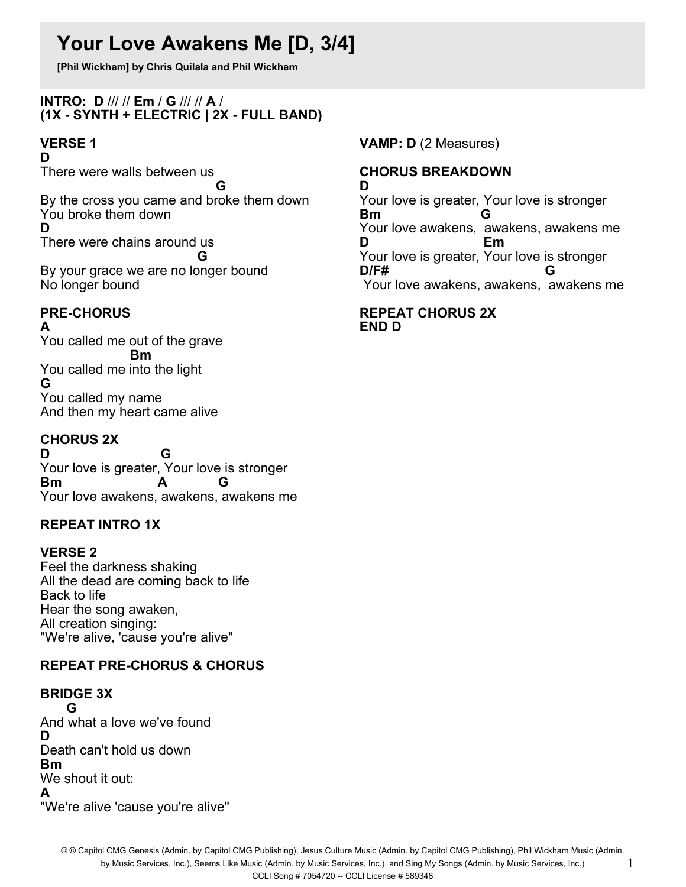# **Your Love Awakens Me [D, 3/4]**

**[Phil Wickham] by Chris Quilala and Phil Wickham**

### **INTRO:**..**D**.///.//.**Em**./.**G**.///.//.**A**./. **(1X**.**-**.**SYNTH**.**+**.**ELECTRIC**.**|**.**2X**.**-**.**FULL**.**BAND)**

#### **VERSE.1 D**

There were walls between us.

...............................................**G** By the cross you came and broke them down You broke them down **D**

There were chains around us

..........................................**G** By your grace we are no longer bound. No longer bound

# **PRE-CHORUS**

**A** You called me out of the grave. ........................**Bm**.............. You called me into the light. **G** You called my name And then my heart came alive.

# **CHORUS**.**2X**

**D**. **G** Your love is greater, Your love is stronger **Bm**. **A**. **G** Your love awakens, awakens, awakens me.

# **REPEAT**.**INTRO**.**1X**

#### **VERSE.2**

Feel the darkness shaking All the dead are coming back to life. Back to life. Hear the song awaken, All creation singing: "We're alive, 'cause you're alive"

# **REPEAT**.**PRE-CHORUS**.**&**.**CHORUS**.

# **BRIDGE**.**3X**

.......**G** And what a love we've found **D** Death can't hold us down **Bm** We shout it out: **A** "We're alive 'cause you're alive" **VAMP:**.**D**.(2.Measures)

#### **CHORUS**.**BREAKDOWN D**

Your love is greater, Your love is stronger **Bm**. **G** Your love awakens, awakens, awakens me. **D**. **Em** Your love is greater, Your love is stronger. **D/F#**. **G** Your love awakens, awakens, awakens me.

1

**REPEAT**.**CHORUS**.**2X END**.**D**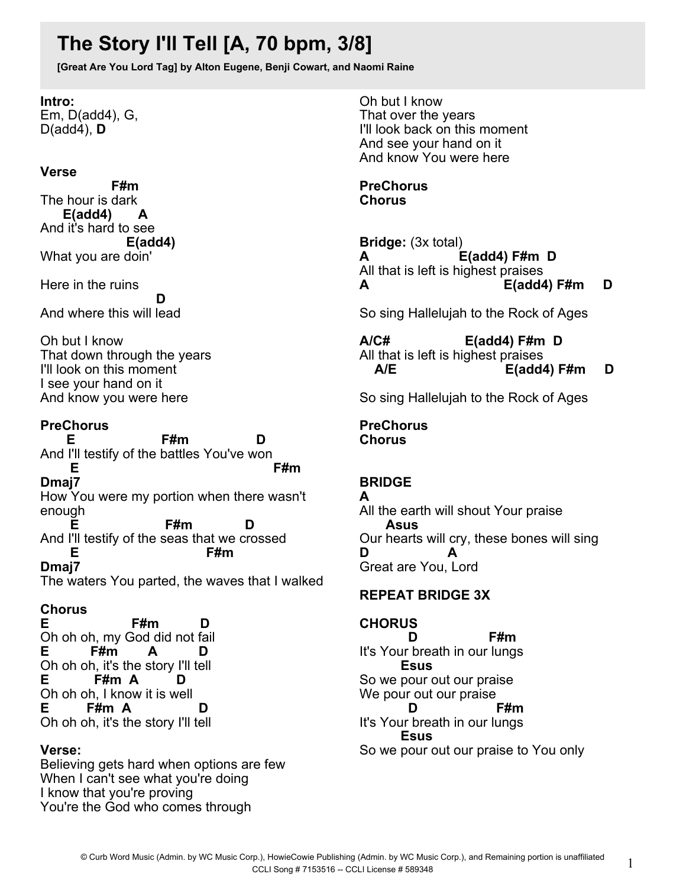# **The Story I'll Tell [A, 70 bpm, 3/8]**

**[Great Are You Lord Tag] by Alton Eugene, Benji Cowart, and Naomi Raine**

#### **Intro:**.

Em,  $D(\text{add4})$ ,  $G$ , D(add4), **D** 

#### **Verse**

...................**F#m** The hour is dark. ......**E(add4)**.......**A** And it's hard to see .......................**E(add4)** What you are doin'

Here in the ruins. ...............................**D** And where this will lead.

Oh but I know That down through the years. I'll look on this moment I see your hand on it And know you were here.

# **PreChorus**

.......**E**.......................**F#m**..................**D** And. I'll testify of the battles. You've won ........**E**....................................................**F#m**...... **Dmaj7** How. You were my portion when there wasn't. enough ........**E**.......................**F#m**..............**D** And I'll testify of the seas that we crossed. ........**E**..................................**F#m**.............. **Dmaj7** The waters. You parted, the waves that I walked

# **Chorus**

**E**......................**F#m**...........**D** Oh oh oh, my God did not fail **E**...........**F#m**........**A**...........**D** Oh oh oh, it's the story I'll tell **E**............**F#m**..**A**..........**D** Oh oh oh, I know it is well **E**..........**F#m**..**A**..................**D** Oh oh oh, it's the story. I'll tell.

# **Verse:**

Believing gets hard when options are few. When I can't see what you're doing. I know that you're proving. You're the God who comes through

Oh but I know That over the years. I'll look back on this moment And see your hand on it. And know You were here.

**PreChorus**. **Chorus**

**Bridge:** (3x total) **A**........................**E(add4)**.**F#m**..**D** All that is left is highest praises. **A**....................................**E(add4)**.**F#m**.....**D**........

So sing Hallelujah to the Rock of Ages.

**A/C#**....................**E(add4)**.**F#m**..**D** All that is left is highest praises. ....**A/E**.............................**E(add4)**.**F#m**.....**D**........

So sing. Hallelujah to the Rock of Ages.

**PreChorus Chorus**

# **BRIDGE**

**A**. All the earth will shout Your praise. .......**Asus** Our hearts will cry, these bones will sing **D**.....................**A** Great are You, Lord.

# **REPEAT**.**BRIDGE**.**3X**

# **CHORUS**

.............**D**...................**F#m** It's Your breath in our lungs. ...........**Esus** So we pour out our praise. We pour out our praise. .............**D**.....................**F#m** It's Your breath in our lungs. ...........**Esus** So we pour out our praise to You only.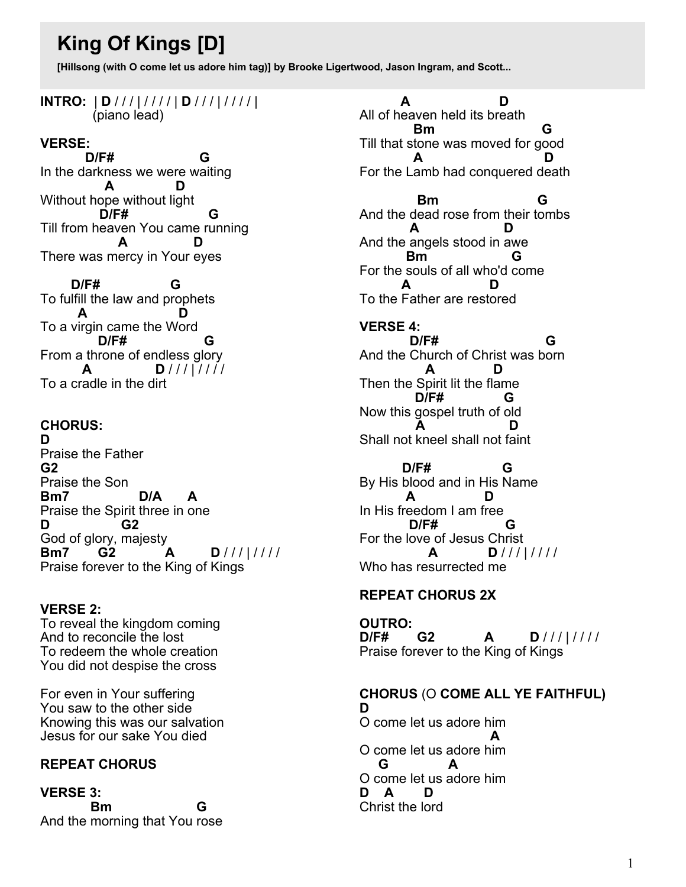# **King Of Kings [D]**

**[Hillsong (with O come let us adore him tag)] by Brooke Ligertwood, Jason Ingram, and Scott...**

#### **INTRO:**  $|D|/|/|/|/|/|D|/|/|/|/|/|$ (piano lead)

#### **VERSE:**

**D/F#**. **G** In the darkness we were waiting **A**. **D** Without hope without light. **D/F#**. **G** Till from heaven You came running **A**. **D** There was mercy in Your eyes.

**D/F#**. **G** To fulfill the law and prophets. **A**. **D** To a virgin came the Word **D/F#**. **G** From a throne of endless glory. **A**. **D**.///////// To a cradle in the dirt

### **CHORUS:**

**D** Praise the Father. **G2** Praise the Son **Bm7**. **D/A**. **A** Praise the Spirit three in one **D**. **G2** God of glory, majesty **Bm7**. **G2. A**.  $D/1/1/1/1/1$ Praise forever to the King of Kings.

#### **VERSE.2:**

To reveal the kingdom coming. And to reconcile the lost To redeem the whole creation You did not despise the cross.

For even in Your suffering. You saw to the other side. Knowing this was our salvation. Jesus for our sake You died

# **REPEAT**.**CHORUS**

**VERSE.3: Bm**. **G** And the morning that You rose. **A**. **D**

All of heaven held its breath **Bm**. **G** Till that stone was moved for good. **A**. **D** For the Lamb had conquered death.

**Bm**. **G** And the dead rose from their tombs. **A**. **D** And the angels stood in awe. **Bm**. **G** For the souls of all who'd come **A**. **D** To the Father are restored

# **VERSE.4:**

**D/F#**. **G** And the Church of Christ was born. **A**. **D** Then the Spirit lit the flame. **D/F#**. **G** Now this gospel truth of old. **A**. **D** Shall not kneel shall not faint.

**D/F#**. **G** By His blood and in His Name. **A**. **D** In His freedom I am free **D/F#**. **G** For the love of Jesus Christ **A. D**///|//// Who has resurrected me.

#### **REPEAT**.**CHORUS**.**2X**

**OUTRO: D/F#**. **G2**. **A**. **D**./././.|././././ Praise forever to the King of Kings.

**CHORUS**.(O.**COME**.**ALL**.**YE**.**FAITHFUL) D** O come let us adore him ...................................**A** O come let us adore him .....**G**................**A** O come let us adore him. **D. A**........D. Christ the lord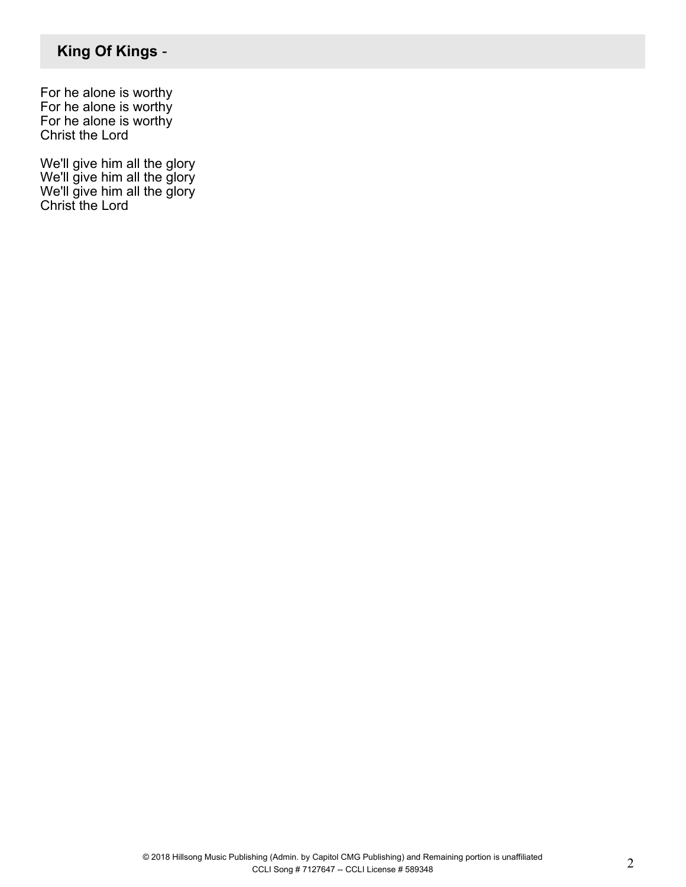# **King Of Kings** -

For he alone is worthy. For he alone is worthy For he alone is worthy Christ the Lord

We'll give him all the glory We'll give him all the glory We'll give him all the glory Christ the Lord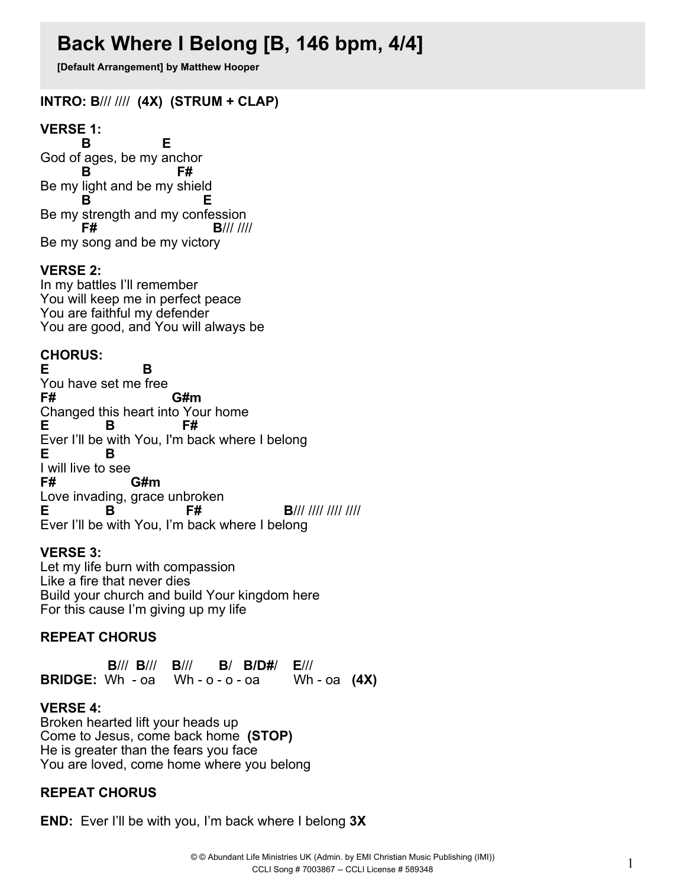# Back Where I Belong [B, 146 bpm, 4/4]

[Default Arrangement] by Matthew Hooper

#### INTRO:  $B\text{/}/\text{/}/\text{/}/\text{/}/$  (4X) (STRUM + CLAP)

# **VERSE 1:**

B E. God of ages, be my anchor В F# Be my light and be my shield В Е Be my strength and my confession F#  $B$ /// //// Be my song and be my victory

#### **VERSE 2:**

In my battles I'll remember You will keep me in perfect peace You are faithful my defender You are good, and You will always be

#### **CHORUS:**

E B You have set me free F# G#m Changed this heart into Your home F# Е. в Ever I'll be with You, I'm back where I belong Е В I will live to see F# G#m Love invading, grace unbroken F# **B/// //// //// ////** Е B Ever I'll be with You, I'm back where I belong

#### **VERSE 3:**

Let my life burn with compassion Like a fire that never dies Build your church and build Your kingdom here For this cause I'm giving up my life

#### **REPEAT CHORUS**

 $B\llap/$   $B\llap/$  $B$ ///  $B/$  B/D#/  $E/1/$ **BRIDGE: Wh - oa**  $Wh - o - o - oa$ Wh - oa  $(4X)$ 

#### **VERSE 4:**

Broken hearted lift your heads up Come to Jesus, come back home (STOP) He is greater than the fears you face You are loved, come home where you belong

#### **REPEAT CHORUS**

END: Ever I'll be with you, I'm back where I belong 3X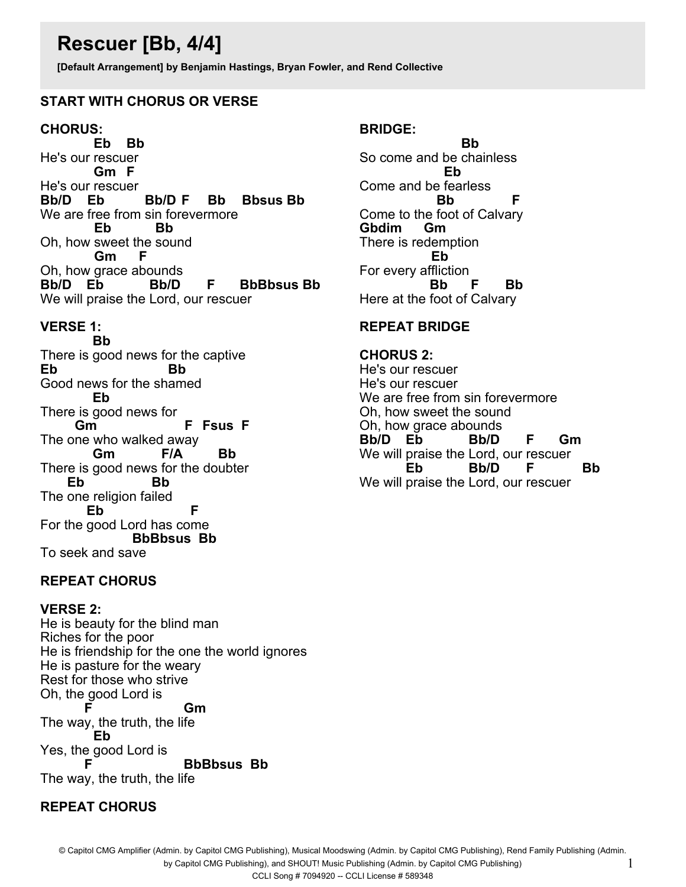# **Rescuer [Bb, 4/4]**

**[Default Arrangement] by Benjamin Hastings, Bryan Fowler, and Rend Collective**

#### **START**.**WITH**.**CHORUS**.**OR**.**VERSE**

#### **CHORUS:**

**Eb**. **Bb** He's our rescuer **Gm**. **F** He's our rescuer **Bb/D**. **Eb**. **Bb/D**.**F**. **Bb Bbsus**.**Bb** We are free from sin forevermore. **Eb**. **Bb** Oh, how sweet the sound **Gm**. **F** Oh, how grace abounds **Bb/D**. **Eb**. **Bb/D**. **F**. **BbBbsus**.**Bb** We will praise the Lord, our rescuer.

#### **VERSE.1:**

**Bb** There is good news for the captive. **Eb**. **Bb** Good news for the shamed. **Eb** There is good news for. **Gm**. **F Fsus**..**F** The one who walked away. **Gm**. **F/A**. **Bb** There is good news for the doubter **Eb**. **Bb** The one religion failed **Eb**. **F** For the good Lord has come. **BbBbsus**..**Bb** To seek and save.

#### **REPEAT**.**CHORUS**

#### **VERSE.2:**

He is beauty for the blind man Riches for the poor. He is friendship for the one the world ignores. He is pasture for the weary. Rest for those who strive. Oh, the good Lord is. **F**. **Gm** The way, the truth, the life. **Eb** Yes, the good Lord is. **F**. **BbBbsus**..**Bb** The way, the truth, the life.

# **REPEAT**.**CHORUS**

#### **BRIDGE:**

**Bb** So come and be chainless **Eb** Come and be fearless **Bb**. **F** Come to the foot of Calvary **Gbdim**. **Gm** There is redemption. **Eb** For every affliction **Bb**. **F**. **Bb** Here at the foot of Calvary.

#### **REPEAT**.**BRIDGE**

**CHORUS.2:** He's our rescuer He's our rescuer We are free from sin forevermore Oh, how sweet the sound Oh, how grace abounds **Bb/D**. **Eb**. **Bb/D**. **F**. **Gm** We will praise the Lord, our rescuer **Eb**. **Bb/D**. **F Bb** We will praise the Lord, our rescuer.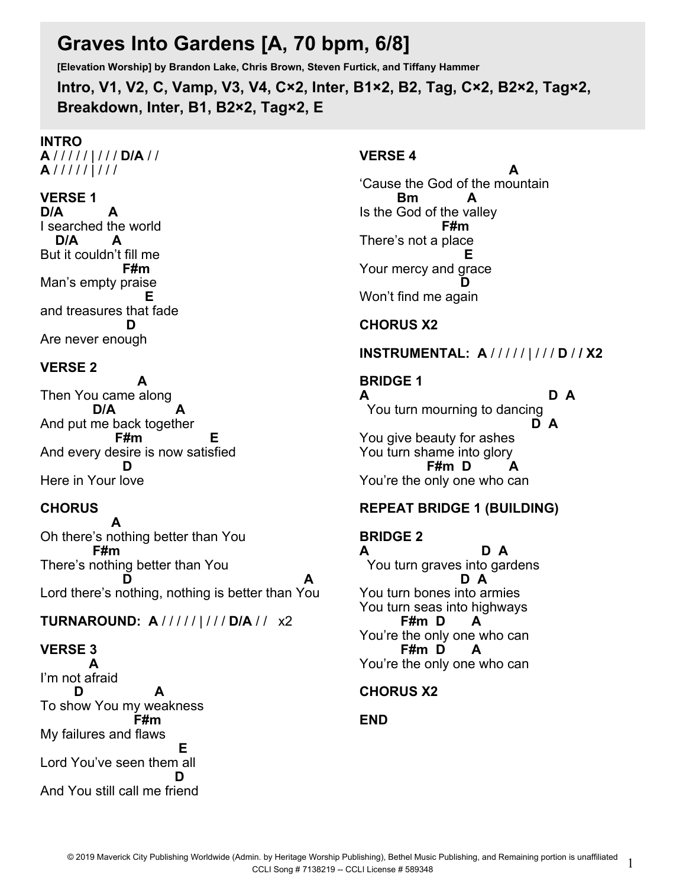# **Graves Into Gardens [A, 70 bpm, 6/8]**

**[Elevation Worship] by Brandon Lake, Chris Brown, Steven Furtick, and Tiffany Hammer**

**Intro, V1, V2, C, Vamp, V3, V4, C×2, Inter, B1×2, B2, Tag, C×2, B2×2, Tag×2, Breakdown, Inter, B1, B2×2, Tag×2, E**

#### **INTRO**

**A**./././././.|./././.**D/A**././. **A**/////////

#### **VERSE.1**

**D/A**............**A** I searched the world ....**D/A**.........**A** But it couldn't fill me ......................**F#m** Man's empty praise ............................**E**. and treasures that fade. .......................**D** Are never enough

#### **VERSE.2**

..........................**A** Then You came along ..............**D/A**................**A** And put me back together ....................**F#m**..................**E**. And every desire is now satisfied. ......................**D** Here in Your love

#### **CHORUS**

...................**A** Oh there's nothing better than You. ..............**F#m** There's nothing better than You ......................**D**..............................................**A** Lord there's nothing, nothing is better than You.

#### **TURNAROUND: A**////////D/A// x2

# **VERSE.3**

.............**A** I'm not afraid .........**D**...................**A** To.show.You.my.weakness .........................**F#m** My failures and flaws. .....................................**E**. Lord You've seen them all ....................................**D** And You still call me friend.

#### **VERSE.4**

........................................**A** 'Cause the God of the mountain. ..........**Bm**.............**A** Is the God of the valley ......................**F#m** There's not a place. ............................**E**. Your mercy and grace. ...........................**D** Won't find me again

#### **CHORUS**.**X2**

#### **INSTRUMENTAL:**..**A**./././././.|./././.**D**./.**/**.**X2**

# **BRIDGE.1**

**A**................................................**D**..**A** You turn mourning to dancing ..............................................**D**..**A** You give beauty for ashes. You turn shame into glory ..................**F#m**..**D**..........**A** You're the only one who can.

#### **REPEAT**.**BRIDGE.1**.**(BUILDING)**

**BRIDGE.2 A**..............................**D**..**A** You turn graves into gardens. ...........................**D**..**A** You turn bones into armies. You turn seas into highways. ...........**F#m**..**D**.......**A** You're the only one who can ...........**F#m**..**D**.......**A** You're the only one who can

#### **CHORUS**.**X2**

#### **END**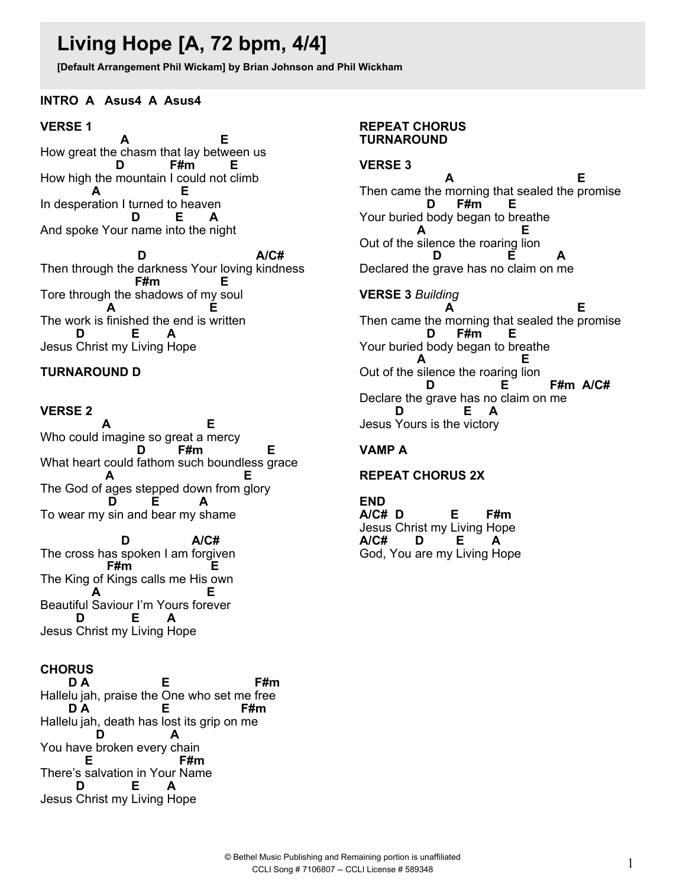# Living Hope [A, 72 bpm, 4/4]

[Default Arrangement Phil Wickam] by Brian Johnson and Phil Wickham

#### **INTRO A Asus4 A Asus4**

#### **VERSE 1**

Δ Е How great the chasm that lay between us  $F#m$ F How high the mountain I could not climb А Е In desperation I turned to heaven Е. And spoke Your name into the night

 $A/CH$ D Then through the darkness Your loving kindness F#m Е. Tore through the shadows of my soul The work is finished the end is written D E A Jesus Christ my Living Hope

#### **TURNAROUND D**

#### **VERSE 2**

Е Who could imagine so great a mercy F#m Е What heart could fathom such boundless grace The God of ages stepped down from glory n F. To wear my sin and bear my shame

 $A/CH$ D The cross has spoken I am forgiven  $F#m$ Е The King of Kings calls me His own F A Beautiful Saviour I'm Yours forever D F Jesus Christ my Living Hope

#### **CHORUS**

F#m D A F Hallelu jah, praise the One who set me free D A F#m Е Hallelu jah, death has lost its grip on me D A You have broken every chain Е F#m There's salvation in Your Name D F Jesus Christ my Living Hope

#### **REPEAT CHORUS TURNAROUND**

**VERSE 3** E A Then came the morning that sealed the promise F#m D E Your buried body began to breathe Out of the silence the roaring lion D Е Declared the grave has no claim on me **VERSE 3 Building** 

E Δ Then came the morning that sealed the promise F#m D Е Your buried body began to breathe Out of the silence the roaring lion F#m A/C# Е Declare the grave has no claim on me Е A Jesus Yours is the victory

#### **VAMP A**

#### **REPEAT CHORUS 2X**

#### **END**

 $A/CH$  D Е F#m Jesus Christ my Living Hope A/C# D Е A God, You are my Living Hope